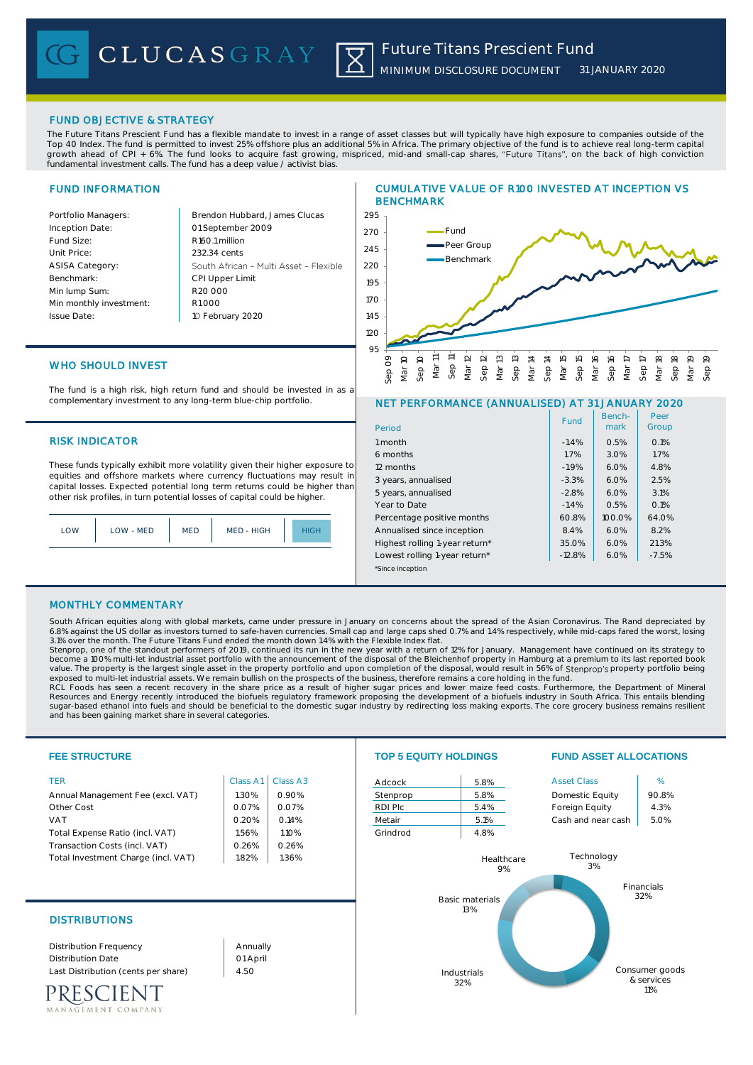## FUND OBJECTIVE & STRATEGY

The Future Titans Prescient Fund has a flexible mandate to invest in a range of asset classes but will typically have high exposure to companies outside of the Top 40 Index. The fund is permitted to invest 25% offshore plus an additional 5% in Africa. The primary objective of the fund is to achieve real long-term capital growth ahead of CPI + 6%. The fund looks to acquire fast growing, mispriced, mid-and small-cap shares, "Future Titans", on the back of high conviction fundamental investment calls. The fund has a deep value / activist bias.

# FUND INFORMATION

| Portfolio Managers:     | Brendon Hubbard, James Clucas          |
|-------------------------|----------------------------------------|
| Inception Date:         | 01 September 2009                      |
| Fund Size:              | R <sub>160.1</sub> million             |
| Unit Price:             | 232.34 cents                           |
| <b>ASISA Category:</b>  | South African - Multi Asset - Flexible |
| Benchmark:              | <b>CPI Upper Limit</b>                 |
| Min lump Sum:           | R20,000                                |
| Min monthly investment: | R1000                                  |
| Issue Date:             | 10 February 2020                       |
|                         |                                        |

## CUMULATIVE VALUE OF R100 INVESTED AT INCEPTION VS BENCHMARK



# WHO SHOULD INVEST

The fund is a high risk, high return fund and should be invested in as a complementary investment to any long-term blue-chip portfolio.

## **RISK INDICATOR**

These funds typically exhibit more volatility given their higher exposure to equities and offshore markets where currency fluctuations may result in capital losses. Expected potential long term returns could be higher than other risk profiles, in turn potential losses of capital could be higher.

|  | OM | LOW - MED | MED | MED - HIGH |  |
|--|----|-----------|-----|------------|--|
|--|----|-----------|-----|------------|--|

### NET PERFORMANCE (ANNUALISED) AT 31 JANUARY 2020

| Period                         | Fund     | Bench-<br>mark | Peer<br>Group |
|--------------------------------|----------|----------------|---------------|
| 1 month                        | $-1.4%$  | 0.5%           | 0.1%          |
| 6 months                       | 1.7%     | 3.0%           | 1.7%          |
| 12 months                      | $-1.9%$  | 6.0%           | 4.8%          |
| 3 years, annualised            | $-3.3%$  | 6.0%           | 2.5%          |
| 5 years, annualised            | $-2.8%$  | 6.0%           | 3.1%          |
| Year to Date                   | $-1.4%$  | 0.5%           | 0.1%          |
| Percentage positive months     | 60.8%    | $100.0\%$      | 64.0%         |
| Annualised since inception     | 8.4%     | 6.0%           | 8.2%          |
| Highest rolling 1-year return* | 35.0%    | 6.0%           | 21.3%         |
| Lowest rolling 1-year return*  | $-12.8%$ | 6.0%           | $-7.5%$       |
| *Since inception               |          |                |               |

## MONTHLY COMMENTARY

South African equities along with global markets, came under pressure in January on concerns about the spread of the Asian Coronavirus. The Rand depreciated by 6.8% against the US dollar as investors turned to safe-haven currencies. Small cap and large caps shed 0.7% and 1.4% respectively, while mid-caps fared the worst, losing 3.1% over the month. The Future Titans Fund ended the month down 1.4% with the Flexible Index flat.<br>Stenprop, one of the standout performers of 2019, continued its run in the new year with a return of 12% for January. Mana

become a 100% multi-let industrial asset portfolio with the announcement of the disposal of the Bleichenhof property in Hamburg at a premium to its last reported book value. The property is the largest single asset in the property portfolio and upon completion of the disposal, would result in 56% of Stenprop's property portfolio being<br>exposed to multi-let industrial assets. We remain bu

RCL Foods has seen a recent recovery in the share price as a result of higher sugar prices and lower maize feed costs. Furthermore, the Department of Mineral<br>Resources and Energy recently introduced the biofuels regulatory and has been gaining market share in several categories.

| <b>FEE STRUCTURE</b>                                                                                                                                                                   |                                                                | <b>TOP 5 EQUITY HOLDINGS</b>                                   |                                                     |                                                          | <b>FUND ASSET ALLOCATIONS</b>                                                                     |                                                 |
|----------------------------------------------------------------------------------------------------------------------------------------------------------------------------------------|----------------------------------------------------------------|----------------------------------------------------------------|-----------------------------------------------------|----------------------------------------------------------|---------------------------------------------------------------------------------------------------|-------------------------------------------------|
| <b>TER</b><br>Annual Management Fee (excl. VAT)<br>Other Cost<br><b>VAT</b><br>Total Expense Ratio (incl. VAT)<br>Transaction Costs (incl. VAT)<br>Total Investment Charge (incl. VAT) | Class A1<br>1.30%<br>0.07%<br>0.20%<br>1.56%<br>0.26%<br>1.82% | Class A3<br>0.90%<br>0.07%<br>0.14%<br>1.10%<br>0.26%<br>1.36% | Adcock<br>Stenprop<br>RDI Plc<br>Metair<br>Grindrod | 5.8%<br>5.8%<br>5.4%<br>5.1%<br>4.8%<br>Healthcare<br>9% | <b>Asset Class</b><br>Domestic Equity<br>Foreign Equity<br>Cash and near cash<br>Technology<br>3% | %<br>90.8%<br>4.3%<br>5.0%<br>Financials<br>32% |
| <b>DISTRIBUTIONS</b><br><b>Distribution Frequency</b><br><b>Distribution Date</b><br>Last Distribution (cents per share)<br><b>IENT</b><br>MANAGEMENT COMPANY                          | Annually<br>01 April<br>4.50                                   |                                                                |                                                     | <b>Basic materials</b><br>13%<br>Industrials<br>32%      |                                                                                                   | Consumer goods<br>& services<br>11%             |